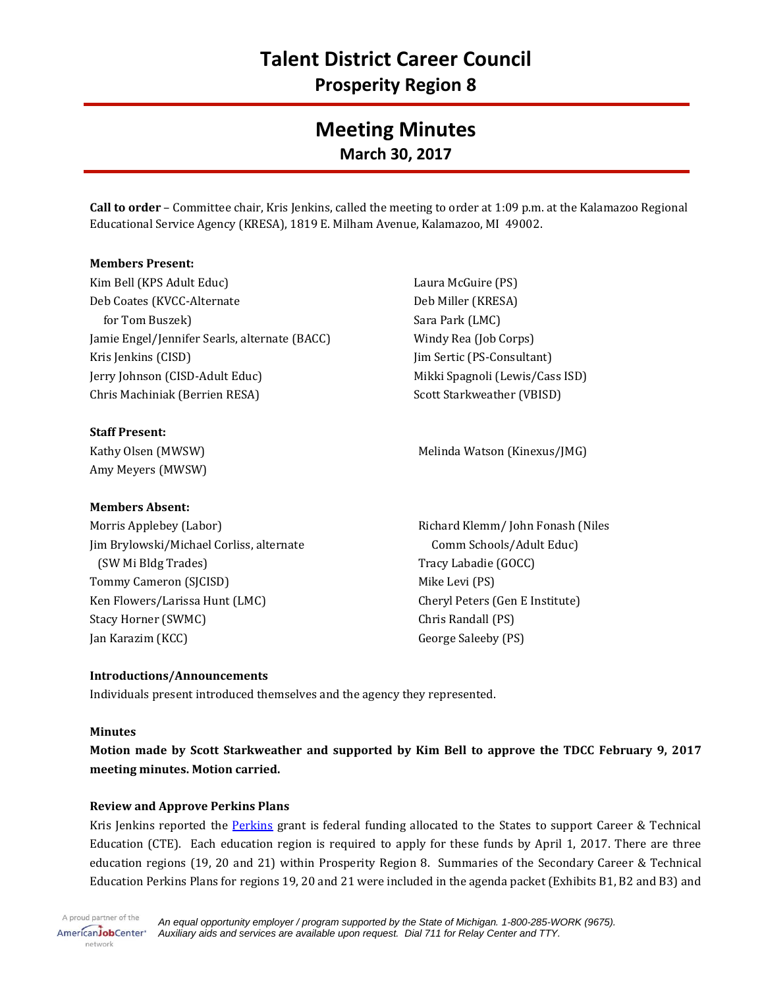# **Meeting Minutes March 30, 2017**

**Call to order** – Committee chair, Kris Jenkins, called the meeting to order at 1:09 p.m. at the Kalamazoo Regional Educational Service Agency (KRESA), 1819 E. Milham Avenue, Kalamazoo, MI 49002.

#### **Members Present:**

Kim Bell (KPS Adult Educ) Deb Coates (KVCC-Alternate for Tom Buszek) Jamie Engel/Jennifer Searls, alternate (BACC) Kris Jenkins (CISD) Jerry Johnson (CISD-Adult Educ) Chris Machiniak (Berrien RESA)

**Staff Present:** Kathy Olsen (MWSW) Amy Meyers (MWSW)

#### **Members Absent:**

Morris Applebey (Labor) Jim Brylowski/Michael Corliss, alternate (SW Mi Bldg Trades) Tommy Cameron (SJCISD) Ken Flowers/Larissa Hunt (LMC) Stacy Horner (SWMC) Jan Karazim (KCC)

Laura McGuire (PS) Deb Miller (KRESA) Sara Park (LMC) Windy Rea (Job Corps) Jim Sertic (PS-Consultant) Mikki Spagnoli (Lewis/Cass ISD) Scott Starkweather (VBISD)

Melinda Watson (Kinexus/JMG)

Richard Klemm/ John Fonash (Niles Comm Schools/Adult Educ) Tracy Labadie (GOCC) Mike Levi (PS) Cheryl Peters (Gen E Institute) Chris Randall (PS) George Saleeby (PS)

## **Introductions/Announcements**

Individuals present introduced themselves and the agency they represented.

#### **Minutes**

**Motion made by Scott Starkweather and supported by Kim Bell to approve the TDCC February 9, 2017 meeting minutes. Motion carried.**

## **Review and Approve Perkins Plans**

Kris Jenkins reported the **Perkins grant** is federal funding allocated to the States to support Career & Technical Education (CTE). Each education region is required to apply for these funds by April 1, 2017. There are three education regions (19, 20 and 21) within Prosperity Region 8. Summaries of the Secondary Career & Technical Education Perkins Plans for regions 19, 20 and 21 were included in the agenda packet (Exhibits B1, B2 and B3) and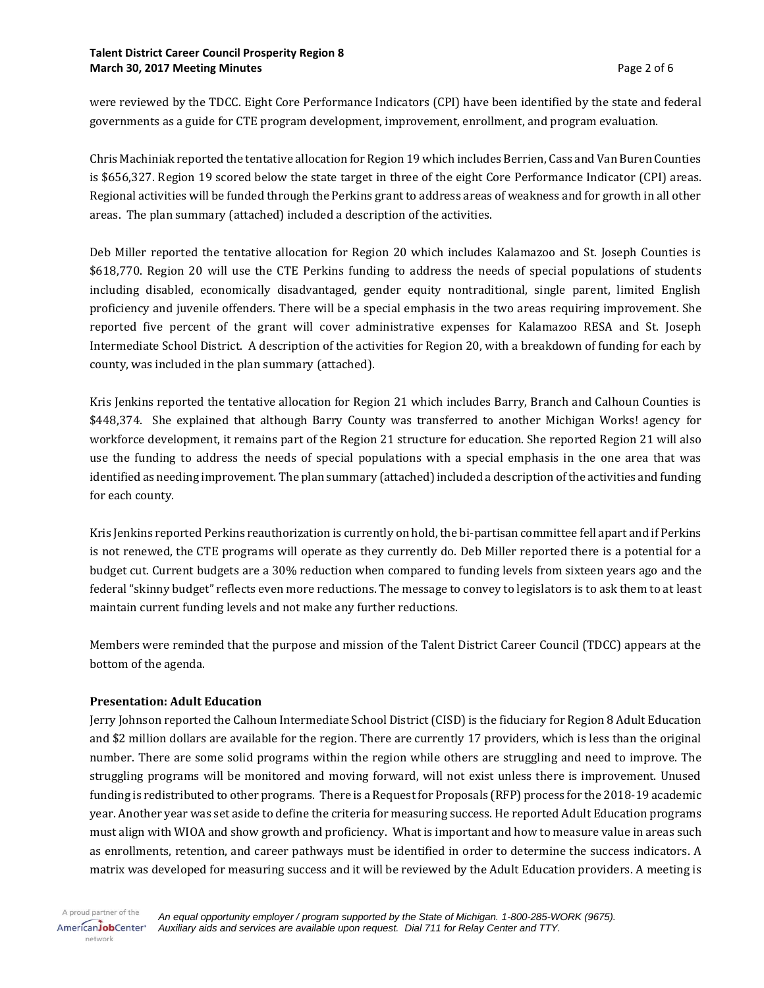#### **Talent District Career Council Prosperity Region 8 March 30, 2017 Meeting Minutes** Page 2 of 6

were reviewed by the TDCC. Eight Core Performance Indicators (CPI) have been identified by the state and federal governments as a guide for CTE program development, improvement, enrollment, and program evaluation.

Chris Machiniak reported the tentative allocation for Region 19 which includes Berrien, Cass and Van Buren Counties is \$656,327. Region 19 scored below the state target in three of the eight Core Performance Indicator (CPI) areas. Regional activities will be funded through the Perkins grant to address areas of weakness and for growth in all other areas. The plan summary (attached) included a description of the activities.

Deb Miller reported the tentative allocation for Region 20 which includes Kalamazoo and St. Joseph Counties is \$618,770. Region 20 will use the CTE Perkins funding to address the needs of special populations of students including disabled, economically disadvantaged, gender equity nontraditional, single parent, limited English proficiency and juvenile offenders. There will be a special emphasis in the two areas requiring improvement. She reported five percent of the grant will cover administrative expenses for Kalamazoo RESA and St. Joseph Intermediate School District. A description of the activities for Region 20, with a breakdown of funding for each by county, was included in the plan summary (attached).

Kris Jenkins reported the tentative allocation for Region 21 which includes Barry, Branch and Calhoun Counties is \$448,374. She explained that although Barry County was transferred to another Michigan Works! agency for workforce development, it remains part of the Region 21 structure for education. She reported Region 21 will also use the funding to address the needs of special populations with a special emphasis in the one area that was identified as needing improvement. The plan summary (attached) included a description of the activities and funding for each county.

Kris Jenkins reported Perkins reauthorization is currently on hold, the bi-partisan committee fell apart and if Perkins is not renewed, the CTE programs will operate as they currently do. Deb Miller reported there is a potential for a budget cut. Current budgets are a 30% reduction when compared to funding levels from sixteen years ago and the federal "skinny budget" reflects even more reductions. The message to convey to legislators is to ask them to at least maintain current funding levels and not make any further reductions.

Members were reminded that the purpose and mission of the Talent District Career Council (TDCC) appears at the bottom of the agenda.

## **Presentation: Adult Education**

Jerry Johnson reported the Calhoun Intermediate School District (CISD) is the fiduciary for Region 8 Adult Education and \$2 million dollars are available for the region. There are currently 17 providers, which is less than the original number. There are some solid programs within the region while others are struggling and need to improve. The struggling programs will be monitored and moving forward, will not exist unless there is improvement. Unused funding is redistributed to other programs. There is a Request for Proposals (RFP) process for the 2018-19 academic year. Another year was set aside to define the criteria for measuring success. He reported Adult Education programs must align with WIOA and show growth and proficiency. What is important and how to measure value in areas such as enrollments, retention, and career pathways must be identified in order to determine the success indicators. A matrix was developed for measuring success and it will be reviewed by the Adult Education providers. A meeting is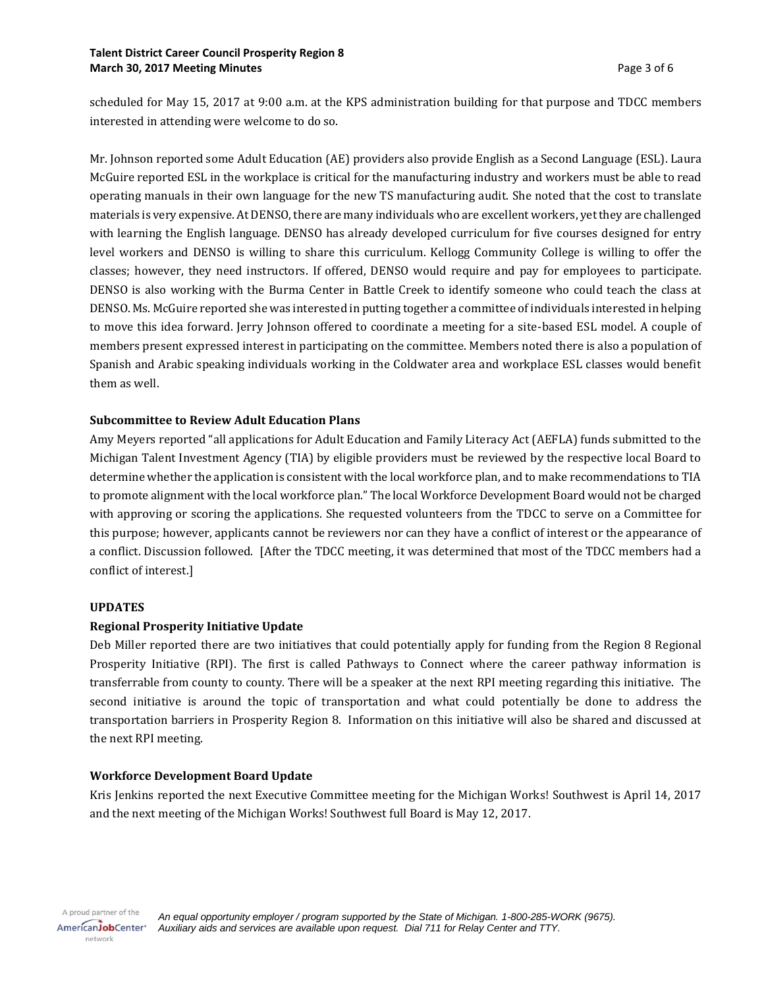#### **Talent District Career Council Prosperity Region 8 March 30, 2017 Meeting Minutes** Page 3 of 6

scheduled for May 15, 2017 at 9:00 a.m. at the KPS administration building for that purpose and TDCC members interested in attending were welcome to do so.

Mr. Johnson reported some Adult Education (AE) providers also provide English as a Second Language (ESL). Laura McGuire reported ESL in the workplace is critical for the manufacturing industry and workers must be able to read operating manuals in their own language for the new TS manufacturing audit. She noted that the cost to translate materials is very expensive. At DENSO, there are many individuals who are excellent workers, yet they are challenged with learning the English language. DENSO has already developed curriculum for five courses designed for entry level workers and DENSO is willing to share this curriculum. Kellogg Community College is willing to offer the classes; however, they need instructors. If offered, DENSO would require and pay for employees to participate. DENSO is also working with the Burma Center in Battle Creek to identify someone who could teach the class at DENSO. Ms. McGuire reported she was interested in putting together a committee of individuals interested in helping to move this idea forward. Jerry Johnson offered to coordinate a meeting for a site-based ESL model. A couple of members present expressed interest in participating on the committee. Members noted there is also a population of Spanish and Arabic speaking individuals working in the Coldwater area and workplace ESL classes would benefit them as well.

## **Subcommittee to Review Adult Education Plans**

Amy Meyers reported "all applications for Adult Education and Family Literacy Act (AEFLA) funds submitted to the Michigan Talent Investment Agency (TIA) by eligible providers must be reviewed by the respective local Board to determine whether the application is consistent with the local workforce plan, and to make recommendations to TIA to promote alignment with the local workforce plan." The local Workforce Development Board would not be charged with approving or scoring the applications. She requested volunteers from the TDCC to serve on a Committee for this purpose; however, applicants cannot be reviewers nor can they have a conflict of interest or the appearance of a conflict. Discussion followed. [After the TDCC meeting, it was determined that most of the TDCC members had a conflict of interest.]

#### **UPDATES**

## **Regional Prosperity Initiative Update**

Deb Miller reported there are two initiatives that could potentially apply for funding from the Region 8 Regional Prosperity Initiative (RPI). The first is called Pathways to Connect where the career pathway information is transferrable from county to county. There will be a speaker at the next RPI meeting regarding this initiative. The second initiative is around the topic of transportation and what could potentially be done to address the transportation barriers in Prosperity Region 8. Information on this initiative will also be shared and discussed at the next RPI meeting.

## **Workforce Development Board Update**

Kris Jenkins reported the next Executive Committee meeting for the Michigan Works! Southwest is April 14, 2017 and the next meeting of the Michigan Works! Southwest full Board is May 12, 2017.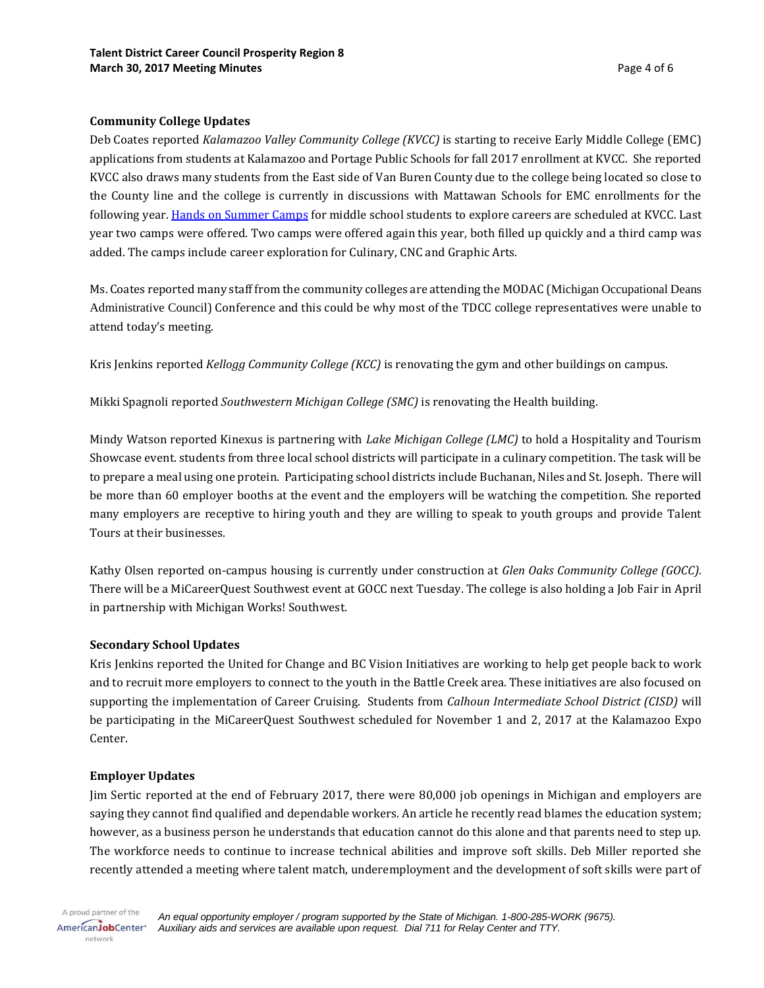## **Community College Updates**

Deb Coates reported *Kalamazoo Valley Community College (KVCC)* is starting to receive Early Middle College (EMC) applications from students at Kalamazoo and Portage Public Schools for fall 2017 enrollment at KVCC. She reported KVCC also draws many students from the East side of Van Buren County due to the college being located so close to the County line and the college is currently in discussions with Mattawan Schools for EMC enrollments for the following year. [Hands on Summer Camps](https://www.kvcc.edu/earlycollege/camp.php) for middle school students to explore careers are scheduled at KVCC. Last year two camps were offered. Two camps were offered again this year, both filled up quickly and a third camp was added. The camps include career exploration for Culinary, CNC and Graphic Arts.

Ms. Coates reported many staff from the community colleges are attending the MODAC (Michigan Occupational Deans Administrative Council) Conference and this could be why most of the TDCC college representatives were unable to attend today's meeting.

Kris Jenkins reported *Kellogg Community College (KCC)* is renovating the gym and other buildings on campus.

Mikki Spagnoli reported *Southwestern Michigan College (SMC)* is renovating the Health building.

Mindy Watson reported Kinexus is partnering with *Lake Michigan College (LMC)* to hold a Hospitality and Tourism Showcase event. students from three local school districts will participate in a culinary competition. The task will be to prepare a meal using one protein. Participating school districts include Buchanan, Niles and St. Joseph. There will be more than 60 employer booths at the event and the employers will be watching the competition. She reported many employers are receptive to hiring youth and they are willing to speak to youth groups and provide Talent Tours at their businesses.

Kathy Olsen reported on-campus housing is currently under construction at *Glen Oaks Community College (GOCC).*  There will be a MiCareerQuest Southwest event at GOCC next Tuesday. The college is also holding a Job Fair in April in partnership with Michigan Works! Southwest.

#### **Secondary School Updates**

Kris Jenkins reported the United for Change and BC Vision Initiatives are working to help get people back to work and to recruit more employers to connect to the youth in the Battle Creek area. These initiatives are also focused on supporting the implementation of Career Cruising. Students from *Calhoun Intermediate School District (CISD)* will be participating in the MiCareerQuest Southwest scheduled for November 1 and 2, 2017 at the Kalamazoo Expo Center.

#### **Employer Updates**

Jim Sertic reported at the end of February 2017, there were 80,000 job openings in Michigan and employers are saying they cannot find qualified and dependable workers. An article he recently read blames the education system; however, as a business person he understands that education cannot do this alone and that parents need to step up. The workforce needs to continue to increase technical abilities and improve soft skills. Deb Miller reported she recently attended a meeting where talent match, underemployment and the development of soft skills were part of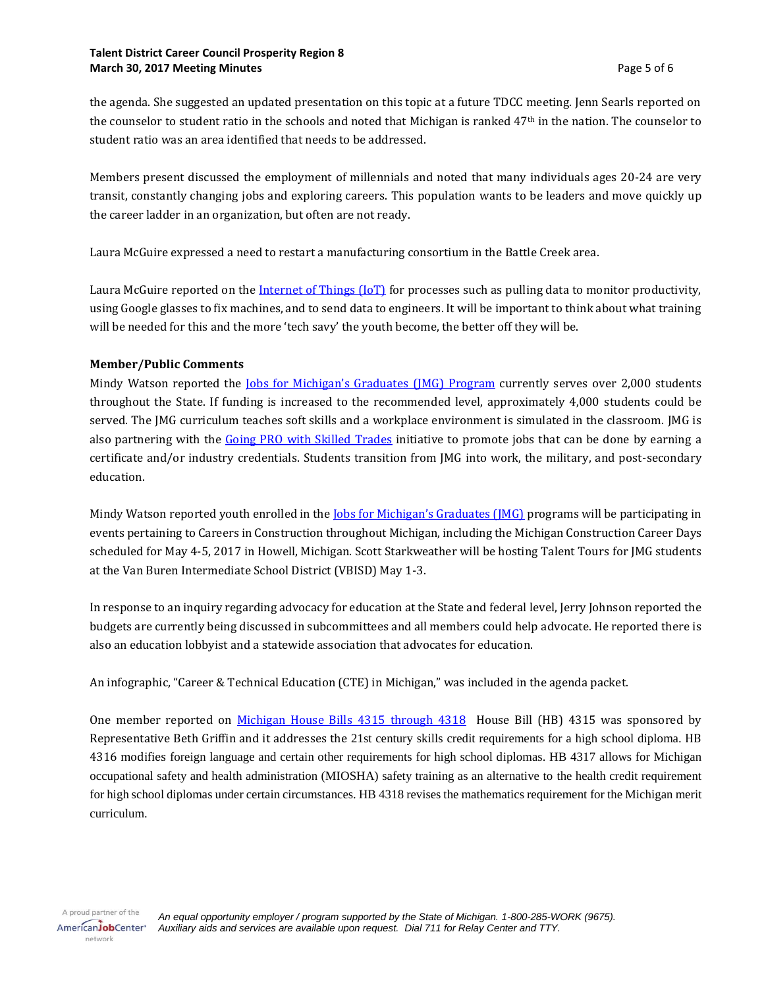#### **Talent District Career Council Prosperity Region 8 March 30, 2017 Meeting Minutes Page 5 of 6**

the agenda. She suggested an updated presentation on this topic at a future TDCC meeting. Jenn Searls reported on the counselor to student ratio in the schools and noted that Michigan is ranked  $47<sup>th</sup>$  in the nation. The counselor to student ratio was an area identified that needs to be addressed.

Members present discussed the employment of millennials and noted that many individuals ages 20-24 are very transit, constantly changing jobs and exploring careers. This population wants to be leaders and move quickly up the career ladder in an organization, but often are not ready.

Laura McGuire expressed a need to restart a manufacturing consortium in the Battle Creek area.

Laura McGuire reported on the [Internet of Things \(IoT\)](https://www.microsoft.com/en-us/internet-of-things?&WT.srch=1&WT.mc_id=AID_SEM_Dz0jj6TR) for processes such as pulling data to monitor productivity, using Google glasses to fix machines, and to send data to engineers. It will be important to think about what training will be needed for this and the more 'tech savy' the youth become, the better off they will be.

#### **Member/Public Comments**

Mindy Watson reported the *[Jobs for Michigan's Graduates](http://ouryouthsolutions.org/our-solutions/jobs-for-michigans-graduates/) (JMG) Program* currently serves over 2,000 students throughout the State. If funding is increased to the recommended level, approximately 4,000 students could be served. The JMG curriculum teaches soft skills and a workplace environment is simulated in the classroom. JMG is also partnering with the Going PRO [with Skilled Trades](https://www.mitalent.org/skilled-trades) initiative to promote jobs that can be done by earning a certificate and/or industry credentials. Students transition from JMG into work, the military, and post-secondary education.

Mindy Watson reported youth enrolled in the <u>[Jobs for Michigan's Graduates \(JMG\)](http://ouryouthsolutions.org/our-solutions/jobs-for-michigans-graduates/)</u> programs will be participating in events pertaining to Careers in Construction throughout Michigan, including the Michigan Construction Career Days scheduled for May 4-5, 2017 in Howell, Michigan. Scott Starkweather will be hosting Talent Tours for JMG students at the Van Buren Intermediate School District (VBISD) May 1-3.

In response to an inquiry regarding advocacy for education at the State and federal level, Jerry Johnson reported the budgets are currently being discussed in subcommittees and all members could help advocate. He reported there is also an education lobbyist and a statewide association that advocates for education.

An infographic, "Career & Technical Education (CTE) in Michigan," was included in the agenda packet.

One member reported on [Michigan House Bills](http://legislature.mi.gov/documents/2017-2018/committeebillrecord/house/htm/2017-HCBR-WORK.htm) 4315 through 4318 House Bill (HB) 4315 was sponsored by Representative Beth Griffin and it addresses the 21st century skills credit requirements for a high school diploma. HB 4316 modifies foreign language and certain other requirements for high school diplomas. HB 4317 allows for Michigan occupational safety and health administration (MIOSHA) safety training as an alternative to the health credit requirement for high school diplomas under certain circumstances. HB 4318 revises the mathematics requirement for the Michigan merit curriculum.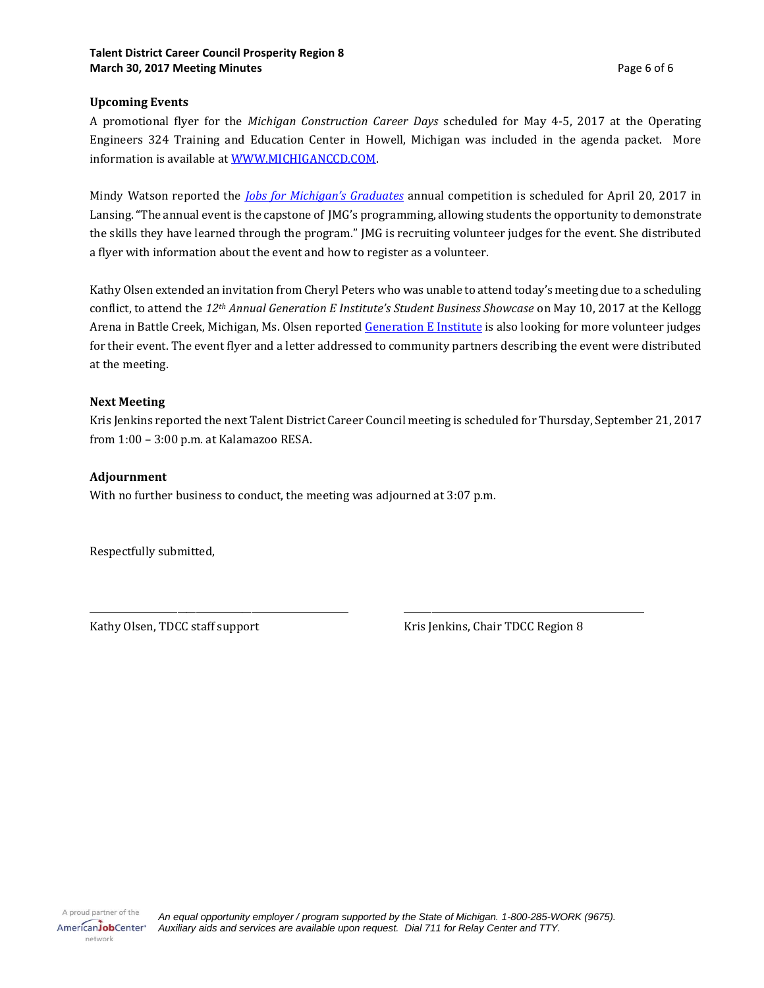#### **Upcoming Events**

A promotional flyer for the *Michigan Construction Career Days* scheduled for May 4-5, 2017 at the Operating Engineers 324 Training and Education Center in Howell, Michigan was included in the agenda packet. More information is available a[t WWW.MICHIGANCCD.COM.](http://www.michiganccd.com/) 

Mindy Watson reported the *[Jobs for Michigan](http://ouryouthsolutions.org/our-solutions/jobs-for-michigans-graduates/)'s Graduates* annual competition is scheduled for April 20, 2017 in Lansing. "The annual event is the capstone of JMG's programming, allowing students the opportunity to demonstrate the skills they have learned through the program." JMG is recruiting volunteer judges for the event. She distributed a flyer with information about the event and how to register as a volunteer.

Kathy Olsen extended an invitation from Cheryl Peters who was unable to attend today's meeting due to a scheduling conflict, to attend the *12th Annual Generation E Institute's Student Business Showcase* on May 10, 2017 at the Kellogg Arena in Battle Creek, Michigan, Ms. Olsen reported [Generation E Institute](https://www.genei.org/) is also looking for more volunteer judges for their event. The event flyer and a letter addressed to community partners describing the event were distributed at the meeting.

#### **Next Meeting**

Kris Jenkins reported the next Talent District Career Council meeting is scheduled for Thursday, September 21, 2017 from 1:00 – 3:00 p.m. at Kalamazoo RESA.

\_\_\_\_\_\_\_\_\_\_\_\_\_\_\_\_\_\_\_\_\_\_\_\_\_\_\_\_\_\_\_\_\_\_\_\_\_\_\_\_\_\_\_\_\_\_\_\_\_\_\_\_\_\_\_\_ \_\_\_\_\_\_\_\_\_\_\_\_\_\_\_\_\_\_\_\_\_\_\_\_\_\_\_\_\_\_\_\_\_\_\_\_\_\_\_\_\_\_\_\_\_\_\_\_\_\_\_\_

#### **Adjournment**

With no further business to conduct, the meeting was adjourned at 3:07 p.m.

Respectfully submitted,

Kathy Olsen, TDCC staff support Kris Jenkins, Chair TDCC Region 8

*An equal opportunity employer / program supported by the State of Michigan. 1-800-285-WORK (9675). Auxiliary aids and services are available upon request. Dial 711 for Relay Center and TTY.*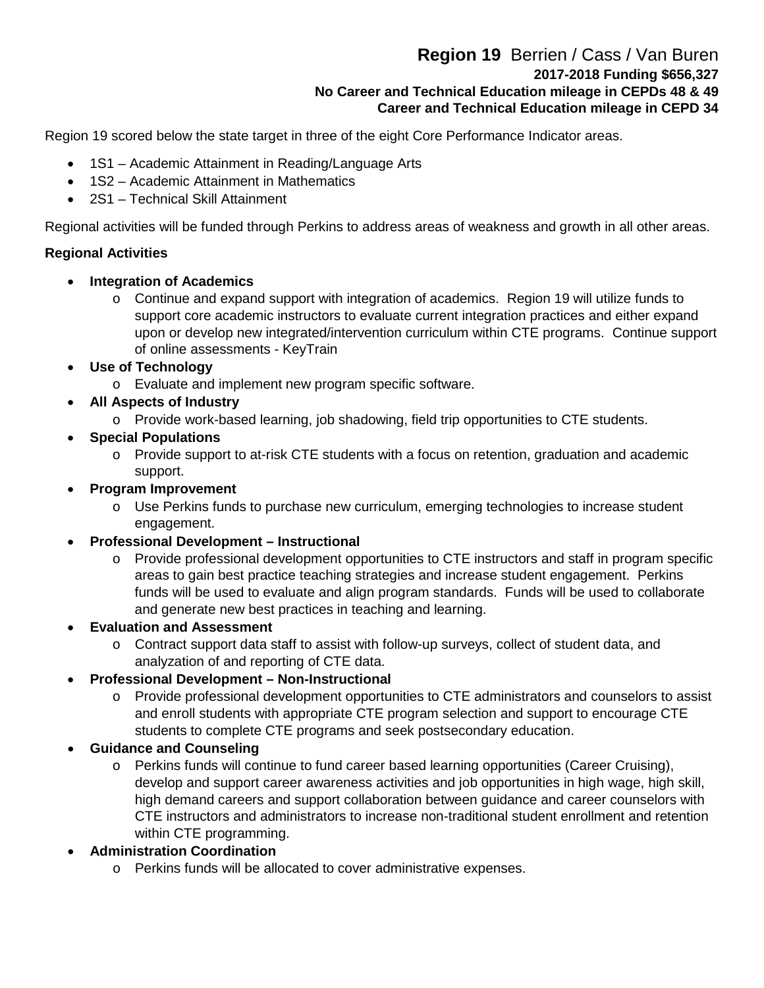# **Region 19** Berrien / Cass / Van Buren **2017-2018 Funding \$656,327 No Career and Technical Education mileage in CEPDs 48 & 49 Career and Technical Education mileage in CEPD 34**

Region 19 scored below the state target in three of the eight Core Performance Indicator areas.

- 1S1 Academic Attainment in Reading/Language Arts
- 1S2 Academic Attainment in Mathematics
- 2S1 Technical Skill Attainment

Regional activities will be funded through Perkins to address areas of weakness and growth in all other areas.

## **Regional Activities**

- **Integration of Academics**
	- o Continue and expand support with integration of academics. Region 19 will utilize funds to support core academic instructors to evaluate current integration practices and either expand upon or develop new integrated/intervention curriculum within CTE programs. Continue support of online assessments - KeyTrain
- **Use of Technology**
	- o Evaluate and implement new program specific software.
- **All Aspects of Industry** 
	- o Provide work-based learning, job shadowing, field trip opportunities to CTE students.
- **Special Populations**
	- o Provide support to at-risk CTE students with a focus on retention, graduation and academic support.
- **Program Improvement**
	- o Use Perkins funds to purchase new curriculum, emerging technologies to increase student engagement.
- **Professional Development – Instructional**
	- o Provide professional development opportunities to CTE instructors and staff in program specific areas to gain best practice teaching strategies and increase student engagement. Perkins funds will be used to evaluate and align program standards. Funds will be used to collaborate and generate new best practices in teaching and learning.
- **Evaluation and Assessment**
	- $\circ$  Contract support data staff to assist with follow-up surveys, collect of student data, and analyzation of and reporting of CTE data.
- **Professional Development – Non-Instructional**
	- o Provide professional development opportunities to CTE administrators and counselors to assist and enroll students with appropriate CTE program selection and support to encourage CTE students to complete CTE programs and seek postsecondary education.

# • **Guidance and Counseling**

- o Perkins funds will continue to fund career based learning opportunities (Career Cruising), develop and support career awareness activities and job opportunities in high wage, high skill, high demand careers and support collaboration between guidance and career counselors with CTE instructors and administrators to increase non-traditional student enrollment and retention within CTE programming.
- **Administration Coordination**
	- o Perkins funds will be allocated to cover administrative expenses.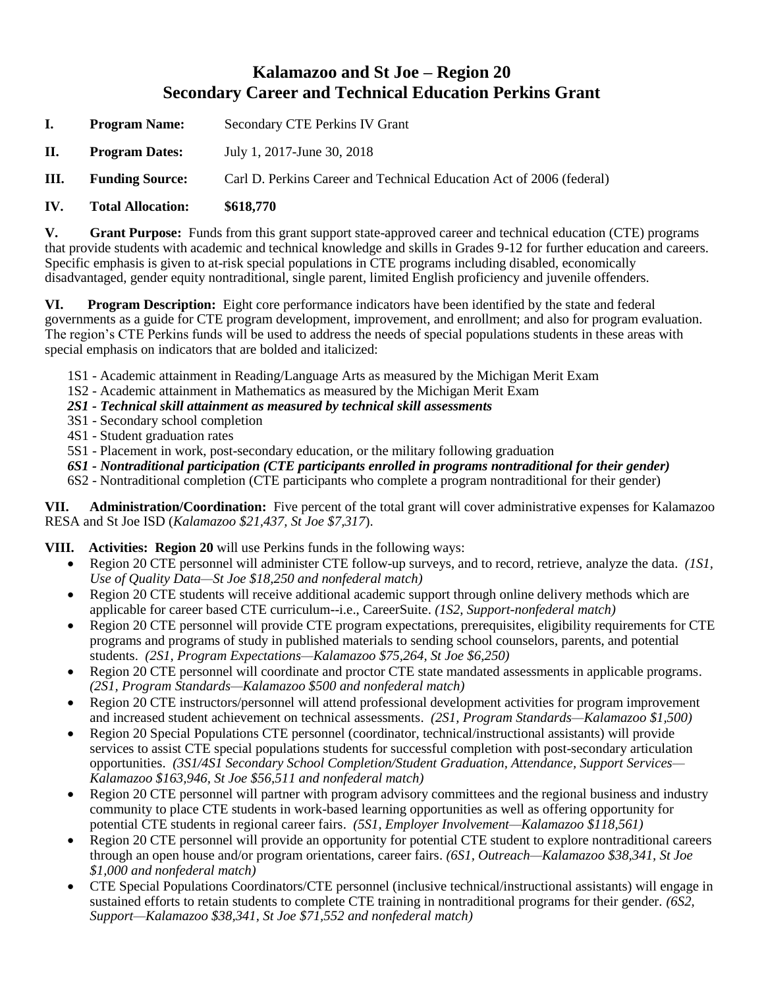# **Kalamazoo and St Joe – Region 20 Secondary Career and Technical Education Perkins Grant**

- **I. Program Name:** Secondary CTE Perkins IV Grant
- **II. Program Dates:** July 1, 2017-June 30, 2018
- **III. Funding Source:** Carl D. Perkins Career and Technical Education Act of 2006 (federal)
- **IV. Total Allocation: \$618,770**

**V. Grant Purpose:** Funds from this grant support state-approved career and technical education (CTE) programs that provide students with academic and technical knowledge and skills in Grades 9-12 for further education and careers. Specific emphasis is given to at-risk special populations in CTE programs including disabled, economically disadvantaged, gender equity nontraditional, single parent, limited English proficiency and juvenile offenders.

**VI. Program Description:** Eight core performance indicators have been identified by the state and federal governments as a guide for CTE program development, improvement, and enrollment; and also for program evaluation. The region's CTE Perkins funds will be used to address the needs of special populations students in these areas with special emphasis on indicators that are bolded and italicized:

- 1S1 Academic attainment in Reading/Language Arts as measured by the Michigan Merit Exam
- 1S2 Academic attainment in Mathematics as measured by the Michigan Merit Exam
- *2S1 - Technical skill attainment as measured by technical skill assessments*
- 3S1 Secondary school completion
- 4S1 Student graduation rates
- 5S1 Placement in work, post-secondary education, or the military following graduation
- *6S1 - Nontraditional participation (CTE participants enrolled in programs nontraditional for their gender)*
- 6S2 Nontraditional completion (CTE participants who complete a program nontraditional for their gender)

**VII. Administration/Coordination:** Five percent of the total grant will cover administrative expenses for Kalamazoo RESA and St Joe ISD (*Kalamazoo \$21,437, St Joe \$7,317*).

- **VIII. Activities: Region 20** will use Perkins funds in the following ways:
	- Region 20 CTE personnel will administer CTE follow-up surveys, and to record, retrieve, analyze the data. *(1S1, Use of Quality Data—St Joe \$18,250 and nonfederal match)*
	- Region 20 CTE students will receive additional academic support through online delivery methods which are applicable for career based CTE curriculum--i.e., CareerSuite. *(1S2, Support-nonfederal match)*
	- Region 20 CTE personnel will provide CTE program expectations, prerequisites, eligibility requirements for CTE programs and programs of study in published materials to sending school counselors, parents, and potential students. *(2S1, Program Expectations—Kalamazoo \$75,264, St Joe \$6,250)*
	- Region 20 CTE personnel will coordinate and proctor CTE state mandated assessments in applicable programs. *(2S1, Program Standards—Kalamazoo \$500 and nonfederal match)*
	- Region 20 CTE instructors/personnel will attend professional development activities for program improvement and increased student achievement on technical assessments. *(2S1, Program Standards—Kalamazoo \$1,500)*
	- Region 20 Special Populations CTE personnel (coordinator, technical/instructional assistants) will provide services to assist CTE special populations students for successful completion with post-secondary articulation opportunities. *(3S1/4S1 Secondary School Completion/Student Graduation, Attendance, Support Services— Kalamazoo \$163,946, St Joe \$56,511 and nonfederal match)*
	- Region 20 CTE personnel will partner with program advisory committees and the regional business and industry community to place CTE students in work-based learning opportunities as well as offering opportunity for potential CTE students in regional career fairs. *(5S1, Employer Involvement—Kalamazoo \$118,561)*
	- Region 20 CTE personnel will provide an opportunity for potential CTE student to explore nontraditional careers through an open house and/or program orientations, career fairs. *(6S1, Outreach—Kalamazoo \$38,341, St Joe \$1,000 and nonfederal match)*
	- CTE Special Populations Coordinators/CTE personnel (inclusive technical/instructional assistants) will engage in sustained efforts to retain students to complete CTE training in nontraditional programs for their gender. *(6S2, Support—Kalamazoo \$38,341, St Joe \$71,552 and nonfederal match)*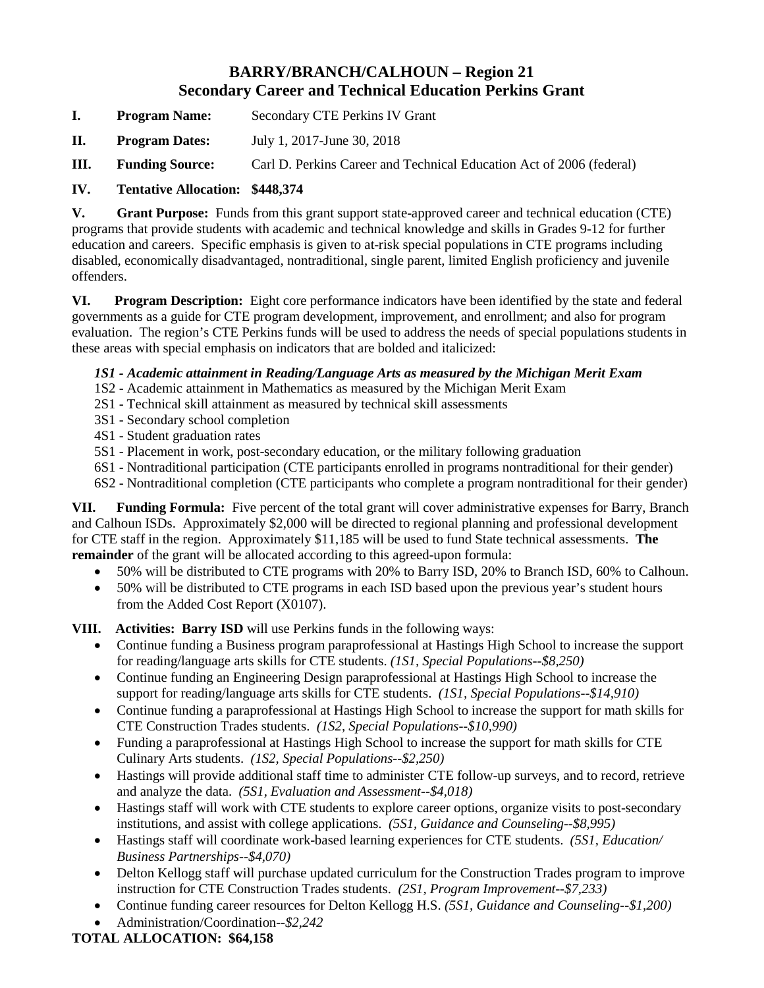# **BARRY/BRANCH/CALHOUN – Region 21 Secondary Career and Technical Education Perkins Grant**

- **I. Program Name:** Secondary CTE Perkins IV Grant
- **II. Program Dates:** July 1, 2017-June 30, 2018
- **III. Funding Source:** Carl D. Perkins Career and Technical Education Act of 2006 (federal)
- **IV. Tentative Allocation: \$448,374**

**V. Grant Purpose:** Funds from this grant support state-approved career and technical education (CTE) programs that provide students with academic and technical knowledge and skills in Grades 9-12 for further education and careers. Specific emphasis is given to at-risk special populations in CTE programs including disabled, economically disadvantaged, nontraditional, single parent, limited English proficiency and juvenile offenders.

**VI. Program Description:** Eight core performance indicators have been identified by the state and federal governments as a guide for CTE program development, improvement, and enrollment; and also for program evaluation. The region's CTE Perkins funds will be used to address the needs of special populations students in these areas with special emphasis on indicators that are bolded and italicized:

## *1S1 - Academic attainment in Reading/Language Arts as measured by the Michigan Merit Exam*

- 1S2 Academic attainment in Mathematics as measured by the Michigan Merit Exam
- 2S1 Technical skill attainment as measured by technical skill assessments
- 3S1 Secondary school completion
- 4S1 Student graduation rates
- 5S1 Placement in work, post-secondary education, or the military following graduation
- 6S1 Nontraditional participation (CTE participants enrolled in programs nontraditional for their gender)
- 6S2 Nontraditional completion (CTE participants who complete a program nontraditional for their gender)

**VII. Funding Formula:** Five percent of the total grant will cover administrative expenses for Barry, Branch and Calhoun ISDs. Approximately \$2,000 will be directed to regional planning and professional development for CTE staff in the region. Approximately \$11,185 will be used to fund State technical assessments. **The remainder** of the grant will be allocated according to this agreed-upon formula:

- 50% will be distributed to CTE programs with 20% to Barry ISD, 20% to Branch ISD, 60% to Calhoun.
- 50% will be distributed to CTE programs in each ISD based upon the previous year's student hours from the Added Cost Report (X0107).

**VIII. Activities: Barry ISD** will use Perkins funds in the following ways:

- Continue funding a Business program paraprofessional at Hastings High School to increase the support for reading/language arts skills for CTE students. *(1S1, Special Populations--\$8,250)*
- Continue funding an Engineering Design paraprofessional at Hastings High School to increase the support for reading/language arts skills for CTE students. *(1S1, Special Populations--\$14,910)*
- Continue funding a paraprofessional at Hastings High School to increase the support for math skills for CTE Construction Trades students. *(1S2, Special Populations--\$10,990)*
- Funding a paraprofessional at Hastings High School to increase the support for math skills for CTE Culinary Arts students. *(1S2, Special Populations--\$2,250)*
- Hastings will provide additional staff time to administer CTE follow-up surveys, and to record, retrieve and analyze the data. *(5S1, Evaluation and Assessment--\$4,018)*
- Hastings staff will work with CTE students to explore career options, organize visits to post-secondary institutions, and assist with college applications. *(5S1, Guidance and Counseling--\$8,995)*
- Hastings staff will coordinate work-based learning experiences for CTE students. *(5S1, Education/ Business Partnerships--\$4,070)*
- Delton Kellogg staff will purchase updated curriculum for the Construction Trades program to improve instruction for CTE Construction Trades students. *(2S1, Program Improvement--\$7,233)*
- Continue funding career resources for Delton Kellogg H.S. *(5S1, Guidance and Counseling--\$1,200)*
- Administration/Coordination--*\$2,242*

## **TOTAL ALLOCATION: \$64,158**